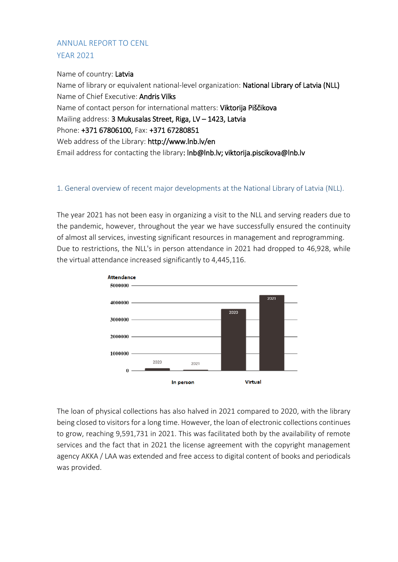# ANNUAL REPORT TO CENL YEAR 2021

Name of country: Latvia Name of library or equivalent national-level organization: National Library of Latvia (NLL) Name of Chief Executive: Andris Vilks Name of contact person for international matters: Viktorija Piščikova Mailing address: 3 Mukusalas Street, Riga, LV – 1423, Latvia Phone: +371 67806100, Fax: +371 67280851 Web address of the Library: http://www.lnb.lv/en Email address for contacting the library: lnb@lnb.lv; viktorija.piscikova@lnb.lv

#### 1. General overview of recent major developments at the National Library of Latvia (NLL).

The year 2021 has not been easy in organizing a visit to the NLL and serving readers due to the pandemic, however, throughout the year we have successfully ensured the continuity of almost all services, investing significant resources in management and reprogramming. Due to restrictions, the NLL's in person attendance in 2021 had dropped to 46,928, while the virtual attendance increased significantly to 4,445,116.



The loan of physical collections has also halved in 2021 compared to 2020, with the library being closed to visitors for a long time. However, the loan of electronic collections continues to grow, reaching 9,591,731 in 2021. This was facilitated both by the availability of remote services and the fact that in 2021 the license agreement with the copyright management agency AKKA / LAA was extended and free access to digital content of books and periodicals was provided.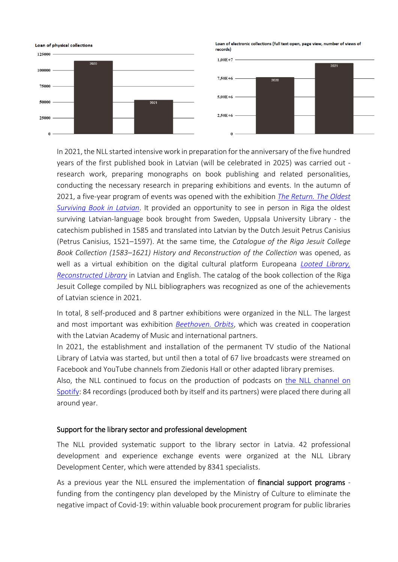

In 2021, the NLL started intensive work in preparation for the anniversary of the five hundred years of the first published book in Latvian (will be celebrated in 2025) was carried out research work, preparing monographs on book publishing and related personalities, conducting the necessary research in preparing exhibitions and events. In the autumn of 2021, a five-year program of events was opened with the exhibition *[The Return. The Oldest](https://lnb.lv/en/exhibition-feature-oldest-surviving-book-latvian-language)  [Surviving Book in Latvian](https://lnb.lv/en/exhibition-feature-oldest-surviving-book-latvian-language)*. It provided an opportunity to see in person in Riga the oldest surviving Latvian-language book brought from Sweden, Uppsala University Library - the catechism published in 1585 and translated into Latvian by the Dutch Jesuit Petrus Canisius (Petrus Canisius, 1521–1597). At the same time, the *Catalogue of the Riga Jesuit College Book Collection (1583–1621) History and Reconstruction of the Collection* was opened, as well as a virtual exhibition on the digital cultural platform Europeana *[Looted Library,](https://www.europeana.eu/en/exhibitions/looted-library-reconstructed-library)  [Reconstructed Library](https://www.europeana.eu/en/exhibitions/looted-library-reconstructed-library)* in Latvian and English. The catalog of the book collection of the Riga Jesuit College compiled by NLL bibliographers was recognized as one of the achievements of Latvian science in 2021.

In total, 8 self-produced and 8 partner exhibitions were organized in the NLL. The largest and most important was exhibition *[Beethoven. Orbits](https://lnb.lv/en/exhibition-beethoven-orbits)*, which was created in cooperation with the Latvian Academy of Music and international partners.

In 2021, the establishment and installation of the permanent TV studio of the National Library of Latvia was started, but until then a total of 67 live broadcasts were streamed on Facebook and YouTube channels from Ziedonis Hall or other adapted library premises.

Also, the NLL continued to focus on the production of podcasts on the NLL [channel on](https://open.spotify.com/show/0NM33nUrAV4GVUAKP45pvl?si=a5df859bd739449c)  [Spotify:](https://open.spotify.com/show/0NM33nUrAV4GVUAKP45pvl?si=a5df859bd739449c) 84 recordings (produced both by itself and its partners) were placed there during all around year.

#### Support for the library sector and professional development

The NLL provided systematic support to the library sector in Latvia. 42 professional development and experience exchange events were organized at the NLL Library Development Center, which were attended by 8341 specialists.

As a previous year the NLL ensured the implementation of financial support programs funding from the contingency plan developed by the Ministry of Culture to eliminate the negative impact of Covid-19: within valuable book procurement program for public libraries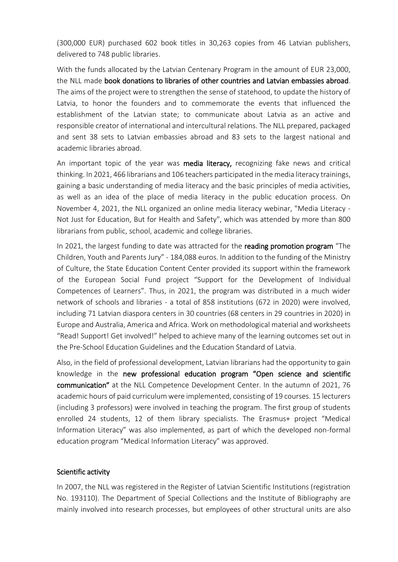(300,000 EUR) purchased 602 book titles in 30,263 copies from 46 Latvian publishers, delivered to 748 public libraries.

With the funds allocated by the Latvian Centenary Program in the amount of EUR 23,000, the NLL made book donations to libraries of other countries and Latvian embassies abroad. The aims of the project were to strengthen the sense of statehood, to update the history of Latvia, to honor the founders and to commemorate the events that influenced the establishment of the Latvian state; to communicate about Latvia as an active and responsible creator of international and intercultural relations. The NLL prepared, packaged and sent 38 sets to Latvian embassies abroad and 83 sets to the largest national and academic libraries abroad.

An important topic of the year was media literacy, recognizing fake news and critical thinking. In 2021, 466 librarians and 106 teachers participated in the media literacy trainings, gaining a basic understanding of media literacy and the basic principles of media activities, as well as an idea of the place of media literacy in the public education process. On November 4, 2021, the NLL organized an online media literacy webinar, "Media Literacy - Not Just for Education, But for Health and Safety", which was attended by more than 800 librarians from public, school, academic and college libraries.

In 2021, the largest funding to date was attracted for the reading promotion program "The Children, Youth and Parents Jury" - 184,088 euros. In addition to the funding of the Ministry of Culture, the State Education Content Center provided its support within the framework of the European Social Fund project "Support for the Development of Individual Competences of Learners". Thus, in 2021, the program was distributed in a much wider network of schools and libraries - a total of 858 institutions (672 in 2020) were involved, including 71 Latvian diaspora centers in 30 countries (68 centers in 29 countries in 2020) in Europe and Australia, America and Africa. Work on methodological material and worksheets "Read! Support! Get involved!" helped to achieve many of the learning outcomes set out in the Pre-School Education Guidelines and the Education Standard of Latvia.

Also, in the field of professional development, Latvian librarians had the opportunity to gain knowledge in the new professional education program "Open science and scientific communication" at the NLL Competence Development Center. In the autumn of 2021, 76 academic hours of paid curriculum were implemented, consisting of 19 courses. 15 lecturers (including 3 professors) were involved in teaching the program. The first group of students enrolled 24 students, 12 of them library specialists. The Erasmus+ project "Medical Information Literacy" was also implemented, as part of which the developed non-formal education program "Medical Information Literacy" was approved.

#### Scientific activity

In 2007, the NLL was registered in the Register of Latvian Scientific Institutions (registration No. 193110). The Department of Special Collections and the Institute of Bibliography are mainly involved into research processes, but employees of other structural units are also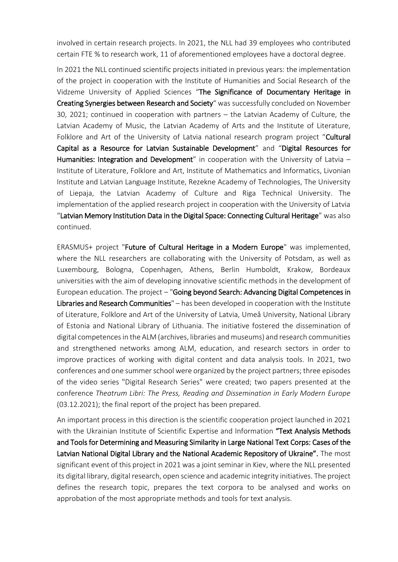involved in certain research projects. In 2021, the NLL had 39 employees who contributed certain FTE % to research work, 11 of aforementioned employees have a doctoral degree.

In 2021 the NLL continued scientific projects initiated in previous years: the implementation of the project in cooperation with the Institute of Humanities and Social Research of the Vidzeme University of Applied Sciences "The Significance of Documentary Heritage in Creating Synergies between Research and Society" was successfully concluded on November 30, 2021; continued in cooperation with partners – the Latvian Academy of Culture, the Latvian Academy of Music, the Latvian Academy of Arts and the Institute of Literature, Folklore and Art of the University of Latvia national research program project "Cultural Capital as a Resource for Latvian Sustainable Development" and "Digital Resources for Humanities: Integration and Development" in cooperation with the University of Latvia  $-$ Institute of Literature, Folklore and Art, Institute of Mathematics and Informatics, Livonian Institute and Latvian Language Institute, Rezekne Academy of Technologies, The University of Liepaja, the Latvian Academy of Culture and Riga Technical University. The implementation of the applied research project in cooperation with the University of Latvia "Latvian Memory Institution Data in the Digital Space: Connecting Cultural Heritage" was also continued.

ERASMUS+ project "Future of Cultural Heritage in a Modern Europe" was implemented, where the NLL researchers are collaborating with the University of Potsdam, as well as Luxembourg, Bologna, Copenhagen, Athens, Berlin Humboldt, Krakow, Bordeaux universities with the aim of developing innovative scientific methods in the development of European education. The project - "Going beyond Search: Advancing Digital Competences in Libraries and Research Communities" – has been developed in cooperation with the Institute of Literature, Folklore and Art of the University of Latvia, Umeå University, National Library of Estonia and National Library of Lithuania. The initiative fostered the dissemination of digital competences in the ALM (archives, libraries and museums) and research communities and strengthened networks among ALM, education, and research sectors in order to improve practices of working with digital content and data analysis tools. In 2021, two conferences and one summer school were organized by the project partners; three episodes of the video series "Digital Research Series" were created; two papers presented at the conference *Theatrum Libri: The Press, Reading and Dissemination in Early Modern Europe*  (03.12.2021); the final report of the project has been prepared.

An important process in this direction is the scientific cooperation project launched in 2021 with the Ukrainian Institute of Scientific Expertise and Information "Text Analysis Methods and Tools for Determining and Measuring Similarity in Large National Text Corps: Cases of the Latvian National Digital Library and the National Academic Repository of Ukraine". The most significant event of this project in 2021 was a joint seminar in Kiev, where the NLL presented its digital library, digital research, open science and academic integrity initiatives. The project defines the research topic, prepares the text corpora to be analysed and works on approbation of the most appropriate methods and tools for text analysis.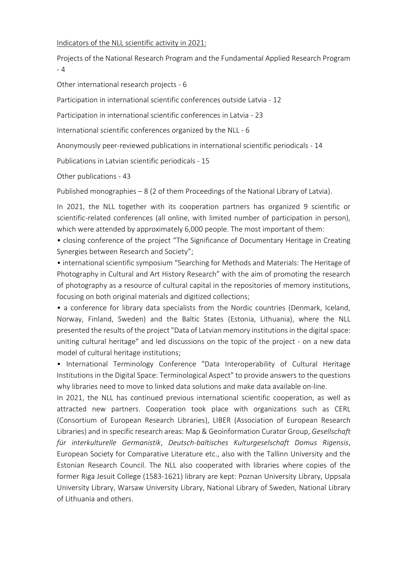#### Indicators of the NLL scientific activity in 2021:

Projects of the National Research Program and the Fundamental Applied Research Program - 4

Other international research projects - 6

Participation in international scientific conferences outside Latvia - 12

Participation in international scientific conferences in Latvia - 23

International scientific conferences organized by the NLL - 6

Anonymously peer-reviewed publications in international scientific periodicals - 14

Publications in Latvian scientific periodicals - 15

Other publications - 43

Published monographies – 8 (2 of them Proceedings of the National Library of Latvia).

In 2021, the NLL together with its cooperation partners has organized 9 scientific or scientific-related conferences (all online, with limited number of participation in person), which were attended by approximately 6,000 people. The most important of them:

• closing conference of the project "The Significance of Documentary Heritage in Creating Synergies between Research and Society";

• international scientific symposium "Searching for Methods and Materials: The Heritage of Photography in Cultural and Art History Research" with the aim of promoting the research of photography as a resource of cultural capital in the repositories of memory institutions, focusing on both original materials and digitized collections;

• a conference for library data specialists from the Nordic countries (Denmark, Iceland, Norway, Finland, Sweden) and the Baltic States (Estonia, Lithuania), where the NLL presented the results of the project "Data of Latvian memory institutions in the digital space: uniting cultural heritage" and led discussions on the topic of the project - on a new data model of cultural heritage institutions;

• International Terminology Conference "Data Interoperability of Cultural Heritage Institutions in the Digital Space: Terminological Aspect" to provide answers to the questions why libraries need to move to linked data solutions and make data available on-line.

In 2021, the NLL has continued previous international scientific cooperation, as well as attracted new partners. Cooperation took place with organizations such as CERL (Consortium of European Research Libraries), LIBER (Association of European Research Libraries) and in specific research areas: Map & Geoinformation Curator Group, *Gesellschaft für interkulturelle Germanistik*, *Deutsch-baltisches Kulturgeselschaft Domus Rigensis*, European Society for Comparative Literature etc., also with the Tallinn University and the Estonian Research Council. The NLL also cooperated with libraries where copies of the former Riga Jesuit College (1583-1621) library are kept: Poznan University Library, Uppsala University Library, Warsaw University Library, National Library of Sweden, National Library of Lithuania and others.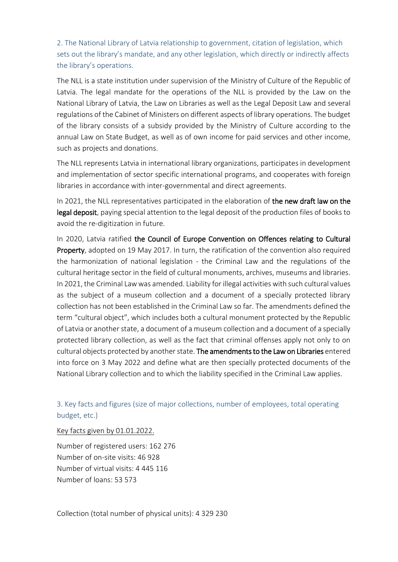2. The National Library of Latvia relationship to government, citation of legislation, which sets out the library's mandate, and any other legislation, which directly or indirectly affects the library's operations.

The NLL is a state institution under supervision of the Ministry of Culture of the Republic of Latvia. The legal mandate for the operations of the NLL is provided by the Law on the National Library of Latvia, the Law on Libraries as well as the Legal Deposit Law and several regulations of the Cabinet of Ministers on different aspects of library operations. The budget of the library consists of a subsidy provided by the Ministry of Culture according to the annual Law on State Budget, as well as of own income for paid services and other income, such as projects and donations.

The NLL represents Latvia in international library organizations, participates in development and implementation of sector specific international programs, and cooperates with foreign libraries in accordance with inter-governmental and direct agreements.

In 2021, the NLL representatives participated in the elaboration of the new draft law on the legal deposit, paying special attention to the legal deposit of the production files of books to avoid the re-digitization in future.

In 2020, Latvia ratified the Council of Europe Convention on Offences relating to Cultural Property, adopted on 19 May 2017. In turn, the ratification of the convention also required the harmonization of national legislation - the Criminal Law and the regulations of the cultural heritage sector in the field of cultural monuments, archives, museums and libraries. In 2021, the Criminal Law was amended. Liability for illegal activities with such cultural values as the subject of a museum collection and a document of a specially protected library collection has not been established in the Criminal Law so far. The amendments defined the term "cultural object", which includes both a cultural monument protected by the Republic of Latvia or another state, a document of a museum collection and a document of a specially protected library collection, as well as the fact that criminal offenses apply not only to on cultural objects protected by another state. The amendments to the Law on Libraries entered into force on 3 May 2022 and define what are then specially protected documents of the National Library collection and to which the liability specified in the Criminal Law applies.

3. Key facts and figures (size of major collections, number of employees, total operating budget, etc.)

Key facts given by 01.01.2022.

Number of registered users: 162 276 Number of on-site visits: 46 928 Number of virtual visits: 4 445 116 Number of loans: 53 573

Collection (total number of physical units): 4 329 230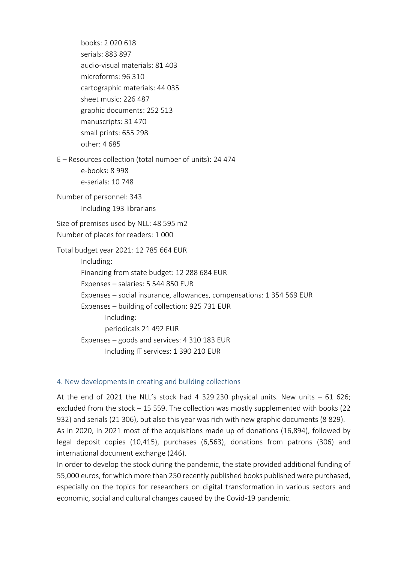books: 2 020 618 serials: 883 897 audio-visual materials: 81 403 microforms: 96 310 cartographic materials: 44 035 sheet music: 226 487 graphic documents: 252 513 manuscripts: 31 470 small prints: 655 298 other: 4 685 E – Resources collection (total number of units): 24 474 e-books: 8 998 e-serials: 10 748 Number of personnel: 343 Including 193 librarians Size of premises used by NLL: 48 595 m2 Number of places for readers: 1 000 Total budget year 2021: 12 785 664 EUR Including: Financing from state budget: 12 288 684 EUR Expenses – salaries: 5 544 850 EUR Expenses – social insurance, allowances, compensations: 1 354 569 EUR Expenses – building of collection: 925 731 EUR Including: periodicals 21 492 EUR Expenses – goods and services: 4 310 183 EUR Including IT services: 1 390 210 EUR

#### 4. New developments in creating and building collections

At the end of 2021 the NLL's stock had 4 329 230 physical units. New units  $-61626$ ; excluded from the stock – 15 559. The collection was mostly supplemented with books (22 932) and serials (21 306), but also this year was rich with new graphic documents (8 829). As in 2020, in 2021 most of the acquisitions made up of donations (16,894), followed by legal deposit copies (10,415), purchases (6,563), donations from patrons (306) and international document exchange (246).

In order to develop the stock during the pandemic, the state provided additional funding of 55,000 euros, for which more than 250 recently published books published were purchased, especially on the topics for researchers on digital transformation in various sectors and economic, social and cultural changes caused by the Covid-19 pandemic.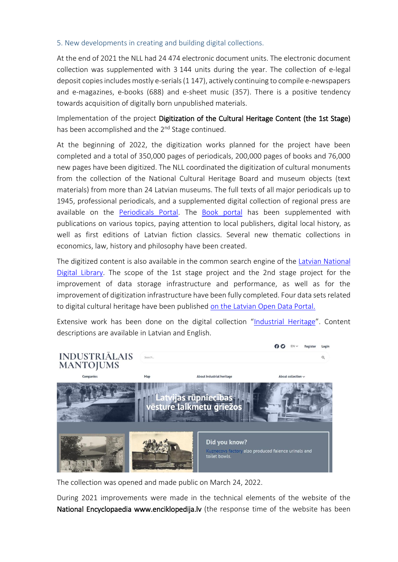#### 5. New developments in creating and building digital collections.

At the end of 2021 the NLL had 24 474 electronic document units. The electronic document collection was supplemented with 3 144 units during the year. The collection of e-legal deposit copies includes mostly e-serials (1 147), actively continuing to compile e-newspapers and e-magazines, e-books (688) and e-sheet music (357). There is a positive tendency towards acquisition of digitally born unpublished materials.

Implementation of the project Digitization of the Cultural Heritage Content (the 1st Stage) has been accomplished and the 2<sup>nd</sup> Stage continued.

At the beginning of 2022, the digitization works planned for the project have been completed and a total of 350,000 pages of periodicals, 200,000 pages of books and 76,000 new pages have been digitized. The NLL coordinated the digitization of cultural monuments from the collection of the National Cultural Heritage Board and museum objects (text materials) from more than 24 Latvian museums. The full texts of all major periodicals up to 1945, professional periodicals, and a supplemented digital collection of regional press are available on the [Periodicals Portal.](http://periodika.lv/) The [Book portal](http://gramatas.lndb.lv/) has been supplemented with publications on various topics, paying attention to local publishers, digital local history, as well as first editions of Latvian fiction classics. Several new thematic collections in economics, law, history and philosophy have been created.

The digitized content is also available in the common search engine of the [Latvian National](https://lndb.lv/)  [Digital Library.](https://lndb.lv/) The scope of the 1st stage project and the 2nd stage project for the improvement of data storage infrastructure and performance, as well as for the improvement of digitization infrastructure have been fully completed. Four data sets related to digital cultural heritage have been published [on the Latvian Open Data Portal.](https://data.gov.lv/dati/eng/dataset?organization=latvijas-nacionala-biblioteka&q=latvijas+nacion%C4%81l%C4%81+bibliot%C4%93ka)

Extensive work has been done on the digital collection "[Industrial Heritage](https://industria.lndb.lv/)". Content descriptions are available in Latvian and English.



The collection was opened and made public on March 24, 2022.

During 2021 improvements were made in the technical elements of the website of the National Encyclopaedia www.enciklopedija.lv (the response time of the website has been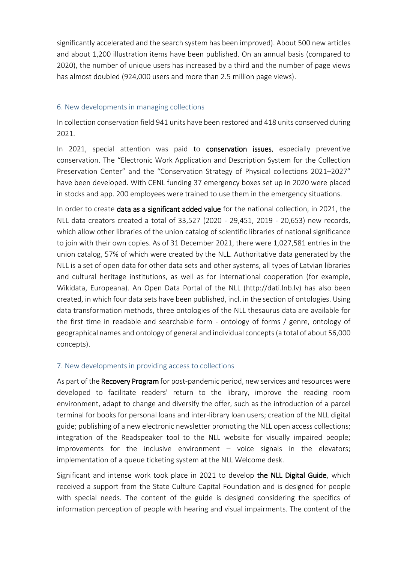significantly accelerated and the search system has been improved). About 500 new articles and about 1,200 illustration items have been published. On an annual basis (compared to 2020), the number of unique users has increased by a third and the number of page views has almost doubled (924,000 users and more than 2.5 million page views).

#### 6. New developments in managing collections

In collection conservation field 941 units have been restored and 418 units conserved during 2021.

In 2021, special attention was paid to conservation issues, especially preventive conservation. The "Electronic Work Application and Description System for the Collection Preservation Center" and the "Conservation Strategy of Physical collections 2021–2027" have been developed. With CENL funding 37 emergency boxes set up in 2020 were placed in stocks and app. 200 employees were trained to use them in the emergency situations.

In order to create data as a significant added value for the national collection, in 2021, the NLL data creators created a total of 33,527 (2020 - 29,451, 2019 - 20,653) new records, which allow other libraries of the union catalog of scientific libraries of national significance to join with their own copies. As of 31 December 2021, there were 1,027,581 entries in the union catalog, 57% of which were created by the NLL. Authoritative data generated by the NLL is a set of open data for other data sets and other systems, all types of Latvian libraries and cultural heritage institutions, as well as for international cooperation (for example, Wikidata, Europeana). An Open Data Portal of the NLL (http://dati.lnb.lv) has also been created, in which four data sets have been published, incl. in the section of ontologies. Using data transformation methods, three ontologies of the NLL thesaurus data are available for the first time in readable and searchable form - ontology of forms / genre, ontology of geographical names and ontology of general and individual concepts (a total of about 56,000 concepts).

#### 7. New developments in providing access to collections

As part of the Recovery Program for post-pandemic period, new services and resources were developed to facilitate readers' return to the library, improve the reading room environment, adapt to change and diversify the offer, such as the introduction of a parcel terminal for books for personal loans and inter-library loan users; creation of the NLL digital guide; publishing of a new electronic newsletter promoting the NLL open access collections; integration of the Readspeaker tool to the NLL website for visually impaired people; improvements for the inclusive environment  $-$  voice signals in the elevators; implementation of a queue ticketing system at the NLL Welcome desk.

Significant and intense work took place in 2021 to develop the NLL Digital Guide, which received a support from the State Culture Capital Foundation and is designed for people with special needs. The content of the guide is designed considering the specifics of information perception of people with hearing and visual impairments. The content of the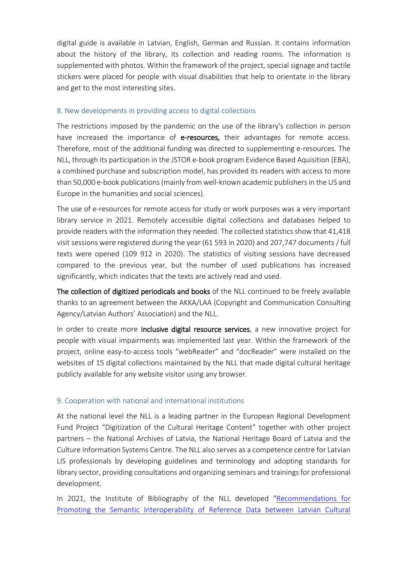digital guide is available in Latvian, English, German and Russian. It contains information about the history of the library, its collection and reading rooms. The information is supplemented with photos. Within the framework of the project, special signage and tactile stickers were placed for people with visual disabilities that help to orientate in the library and get to the most interesting sites.

### 8. New developments in providing access to digital collections

The restrictions imposed by the pandemic on the use of the library's collection in person have increased the importance of e-resources, their advantages for remote access. Therefore, most of the additional funding was directed to supplementing e-resources. The NLL, through its participation in the JSTOR e-book program Evidence Based Aquisition (EBA), a combined purchase and subscription model, has provided its readers with access to more than 50,000 e-book publications (mainly from well-known academic publishers in the US and Europe in the humanities and social sciences).

The use of e-resources for remote access for study or work purposes was a very important library service in 2021. Remotely accessible digital collections and databases helped to provide readers with the information they needed. The collected statistics show that 41,418 visit sessions were registered during the year (61 593 in 2020) and 207,747 documents / full texts were opened (109 912 in 2020). The statistics of visiting sessions have decreased compared to the previous year, but the number of used publications has increased significantly, which indicates that the texts are actively read and used.

The collection of digitized periodicals and books of the NLL continued to be freely available thanks to an agreement between the AKKA/LAA (Copyright and Communication Consulting Agency/Latvian Authors' Association) and the NLL.

In order to create more inclusive digital resource services, a new innovative project for people with visual impairments was implemented last year. Within the framework of the project, online easy-to-access tools "webReader" and "docReader" were installed on the websites of 15 digital collections maintained by the NLL that made digital cultural heritage publicly available for any website visitor using any browser.

## 9. Cooperation with national and international institutions

At the national level the NLL is a leading partner in the European Regional Development Fund Project "Digitization of the Cultural Heritage Content" together with other project partners – the National Archives of Latvia, the National Heritage Board of Latvia and the Culture Information Systems Centre. The NLL also serves as a competence centre for Latvian LIS professionals by developing guidelines and terminology and adopting standards for library sector, providing consultations and organizing seminars and trainings for professional development.

In 2021, the Institute of Bibliography of the NLL developed ["Recommendations for](https://dom.lndb.lv/data/obj/903568.html)  [Promoting the Semantic Interoperability of Reference Data between Latvian Cultural](https://dom.lndb.lv/data/obj/903568.html)